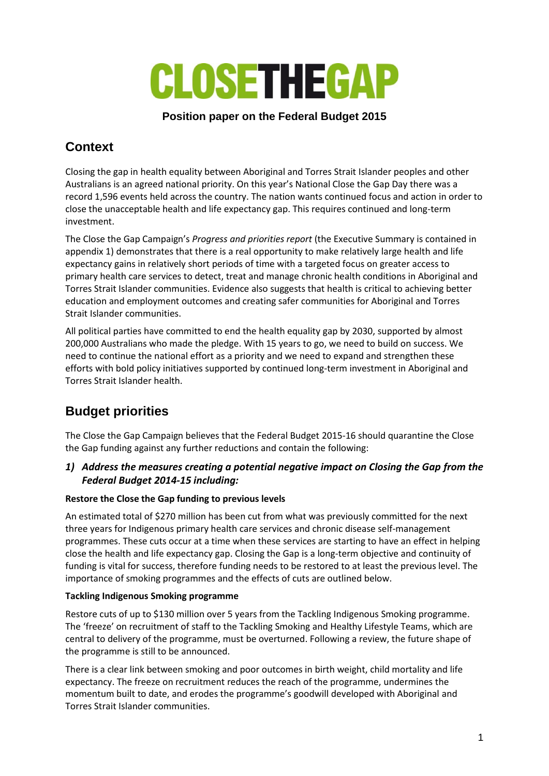

### **Position paper on the Federal Budget 2015**

# **Context**

Closing the gap in health equality between Aboriginal and Torres Strait Islander peoples and other Australians is an agreed national priority. On this year's National Close the Gap Day there was a record 1,596 events held across the country. The nation wants continued focus and action in order to close the unacceptable health and life expectancy gap. This requires continued and long-term investment.

The Close the Gap Campaign's *Progress and priorities report* (the Executive Summary is contained in appendix 1) demonstrates that there is a real opportunity to make relatively large health and life expectancy gains in relatively short periods of time with a targeted focus on greater access to primary health care services to detect, treat and manage chronic health conditions in Aboriginal and Torres Strait Islander communities. Evidence also suggests that health is critical to achieving better education and employment outcomes and creating safer communities for Aboriginal and Torres Strait Islander communities.

All political parties have committed to end the health equality gap by 2030, supported by almost 200,000 Australians who made the pledge. With 15 years to go, we need to build on success. We need to continue the national effort as a priority and we need to expand and strengthen these efforts with bold policy initiatives supported by continued long-term investment in Aboriginal and Torres Strait Islander health.

# **Budget priorities**

The Close the Gap Campaign believes that the Federal Budget 2015-16 should quarantine the Close the Gap funding against any further reductions and contain the following:

### *1) Address the measures creating a potential negative impact on Closing the Gap from the Federal Budget 2014-15 including:*

#### **Restore the Close the Gap funding to previous levels**

An estimated total of \$270 million has been cut from what was previously committed for the next three years for Indigenous primary health care services and chronic disease self-management programmes. These cuts occur at a time when these services are starting to have an effect in helping close the health and life expectancy gap. Closing the Gap is a long-term objective and continuity of funding is vital for success, therefore funding needs to be restored to at least the previous level. The importance of smoking programmes and the effects of cuts are outlined below.

#### **Tackling Indigenous Smoking programme**

Restore cuts of up to \$130 million over 5 years from the Tackling Indigenous Smoking programme. The 'freeze' on recruitment of staff to the Tackling Smoking and Healthy Lifestyle Teams, which are central to delivery of the programme, must be overturned. Following a review, the future shape of the programme is still to be announced.

There is a clear link between smoking and poor outcomes in birth weight, child mortality and life expectancy. The freeze on recruitment reduces the reach of the programme, undermines the momentum built to date, and erodes the programme's goodwill developed with Aboriginal and Torres Strait Islander communities.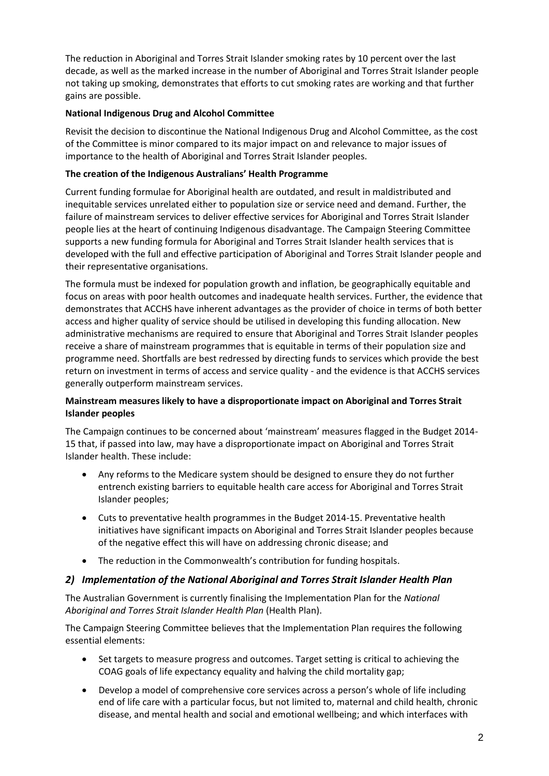The reduction in Aboriginal and Torres Strait Islander smoking rates by 10 percent over the last decade, as well as the marked increase in the number of Aboriginal and Torres Strait Islander people not taking up smoking, demonstrates that efforts to cut smoking rates are working and that further gains are possible.

### **National Indigenous Drug and Alcohol Committee**

Revisit the decision to discontinue the National Indigenous Drug and Alcohol Committee, as the cost of the Committee is minor compared to its major impact on and relevance to major issues of importance to the health of Aboriginal and Torres Strait Islander peoples.

### **The creation of the Indigenous Australians' Health Programme**

Current funding formulae for Aboriginal health are outdated, and result in maldistributed and inequitable services unrelated either to population size or service need and demand. Further, the failure of mainstream services to deliver effective services for Aboriginal and Torres Strait Islander people lies at the heart of continuing Indigenous disadvantage. The Campaign Steering Committee supports a new funding formula for Aboriginal and Torres Strait Islander health services that is developed with the full and effective participation of Aboriginal and Torres Strait Islander people and their representative organisations.

The formula must be indexed for population growth and inflation, be geographically equitable and focus on areas with poor health outcomes and inadequate health services. Further, the evidence that demonstrates that ACCHS have inherent advantages as the provider of choice in terms of both better access and higher quality of service should be utilised in developing this funding allocation. New administrative mechanisms are required to ensure that Aboriginal and Torres Strait Islander peoples receive a share of mainstream programmes that is equitable in terms of their population size and programme need. Shortfalls are best redressed by directing funds to services which provide the best return on investment in terms of access and service quality - and the evidence is that ACCHS services generally outperform mainstream services.

### **Mainstream measures likely to have a disproportionate impact on Aboriginal and Torres Strait Islander peoples**

The Campaign continues to be concerned about 'mainstream' measures flagged in the Budget 2014- 15 that, if passed into law, may have a disproportionate impact on Aboriginal and Torres Strait Islander health. These include:

- Any reforms to the Medicare system should be designed to ensure they do not further entrench existing barriers to equitable health care access for Aboriginal and Torres Strait Islander peoples;
- Cuts to preventative health programmes in the Budget 2014-15. Preventative health initiatives have significant impacts on Aboriginal and Torres Strait Islander peoples because of the negative effect this will have on addressing chronic disease; and
- The reduction in the Commonwealth's contribution for funding hospitals.

#### *2) Implementation of the National Aboriginal and Torres Strait Islander Health Plan*

The Australian Government is currently finalising the Implementation Plan for the *National Aboriginal and Torres Strait Islander Health Plan* (Health Plan).

The Campaign Steering Committee believes that the Implementation Plan requires the following essential elements:

- Set targets to measure progress and outcomes. Target setting is critical to achieving the COAG goals of life expectancy equality and halving the child mortality gap;
- Develop a model of comprehensive core services across a person's whole of life including end of life care with a particular focus, but not limited to, maternal and child health, chronic disease, and mental health and social and emotional wellbeing; and which interfaces with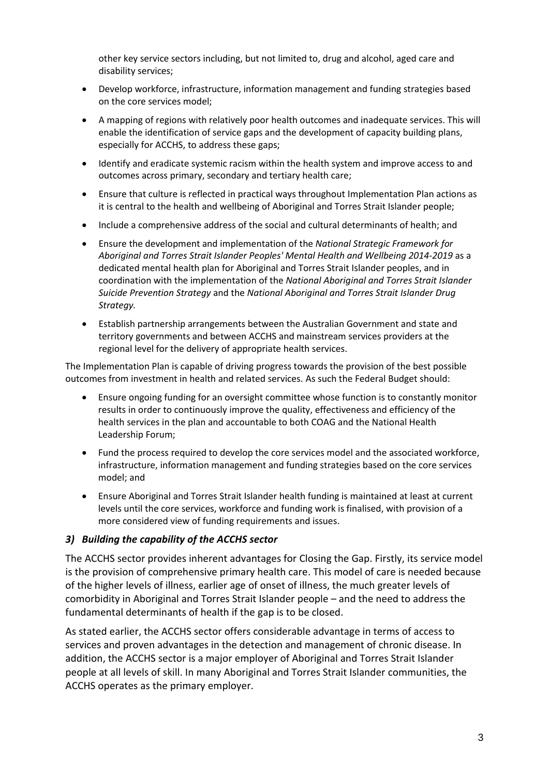other key service sectors including, but not limited to, drug and alcohol, aged care and disability services;

- Develop workforce, infrastructure, information management and funding strategies based on the core services model;
- A mapping of regions with relatively poor health outcomes and inadequate services. This will enable the identification of service gaps and the development of capacity building plans, especially for ACCHS, to address these gaps;
- Identify and eradicate systemic racism within the health system and improve access to and outcomes across primary, secondary and tertiary health care;
- Ensure that culture is reflected in practical ways throughout Implementation Plan actions as it is central to the health and wellbeing of Aboriginal and Torres Strait Islander people;
- Include a comprehensive address of the social and cultural determinants of health; and
- Ensure the development and implementation of the *National Strategic Framework for Aboriginal and Torres Strait Islander Peoples' Mental Health and Wellbeing 2014-2019* as a dedicated mental health plan for Aboriginal and Torres Strait Islander peoples, and in coordination with the implementation of the *National Aboriginal and Torres Strait Islander Suicide Prevention Strategy* and the *National Aboriginal and Torres Strait Islander Drug Strategy.*
- Establish partnership arrangements between the Australian Government and state and territory governments and between ACCHS and mainstream services providers at the regional level for the delivery of appropriate health services.

The Implementation Plan is capable of driving progress towards the provision of the best possible outcomes from investment in health and related services. As such the Federal Budget should:

- Ensure ongoing funding for an oversight committee whose function is to constantly monitor results in order to continuously improve the quality, effectiveness and efficiency of the health services in the plan and accountable to both COAG and the National Health Leadership Forum;
- Fund the process required to develop the core services model and the associated workforce, infrastructure, information management and funding strategies based on the core services model; and
- Ensure Aboriginal and Torres Strait Islander health funding is maintained at least at current levels until the core services, workforce and funding work is finalised, with provision of a more considered view of funding requirements and issues.

#### *3) Building the capability of the ACCHS sector*

The ACCHS sector provides inherent advantages for Closing the Gap. Firstly, its service model is the provision of comprehensive primary health care. This model of care is needed because of the higher levels of illness, earlier age of onset of illness, the much greater levels of comorbidity in Aboriginal and Torres Strait Islander people – and the need to address the fundamental determinants of health if the gap is to be closed.

As stated earlier, the ACCHS sector offers considerable advantage in terms of access to services and proven advantages in the detection and management of chronic disease. In addition, the ACCHS sector is a major employer of Aboriginal and Torres Strait Islander people at all levels of skill. In many Aboriginal and Torres Strait Islander communities, the ACCHS operates as the primary employer.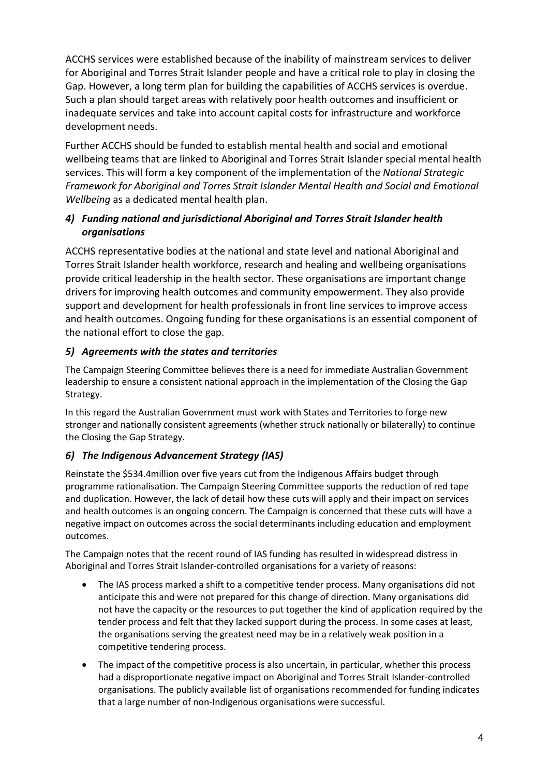ACCHS services were established because of the inability of mainstream services to deliver for Aboriginal and Torres Strait Islander people and have a critical role to play in closing the Gap. However, a long term plan for building the capabilities of ACCHS services is overdue. Such a plan should target areas with relatively poor health outcomes and insufficient or inadequate services and take into account capital costs for infrastructure and workforce development needs.

Further ACCHS should be funded to establish mental health and social and emotional wellbeing teams that are linked to Aboriginal and Torres Strait Islander special mental health services. This will form a key component of the implementation of the *National Strategic Framework for Aboriginal and Torres Strait Islander Mental Health and Social and Emotional Wellbeing* as a dedicated mental health plan.

### *4) Funding national and jurisdictional Aboriginal and Torres Strait Islander health organisations*

ACCHS representative bodies at the national and state level and national Aboriginal and Torres Strait Islander health workforce, research and healing and wellbeing organisations provide critical leadership in the health sector. These organisations are important change drivers for improving health outcomes and community empowerment. They also provide support and development for health professionals in front line services to improve access and health outcomes. Ongoing funding for these organisations is an essential component of the national effort to close the gap.

## *5) Agreements with the states and territories*

The Campaign Steering Committee believes there is a need for immediate Australian Government leadership to ensure a consistent national approach in the implementation of the Closing the Gap Strategy.

In this regard the Australian Government must work with States and Territories to forge new stronger and nationally consistent agreements (whether struck nationally or bilaterally) to continue the Closing the Gap Strategy.

## *6) The Indigenous Advancement Strategy (IAS)*

Reinstate the \$534.4million over five years cut from the Indigenous Affairs budget through programme rationalisation. The Campaign Steering Committee supports the reduction of red tape and duplication. However, the lack of detail how these cuts will apply and their impact on services and health outcomes is an ongoing concern. The Campaign is concerned that these cuts will have a negative impact on outcomes across the social determinants including education and employment outcomes.

The Campaign notes that the recent round of IAS funding has resulted in widespread distress in Aboriginal and Torres Strait Islander-controlled organisations for a variety of reasons:

- The IAS process marked a shift to a competitive tender process. Many organisations did not anticipate this and were not prepared for this change of direction. Many organisations did not have the capacity or the resources to put together the kind of application required by the tender process and felt that they lacked support during the process. In some cases at least, the organisations serving the greatest need may be in a relatively weak position in a competitive tendering process.
- The impact of the competitive process is also uncertain, in particular, whether this process had a disproportionate negative impact on Aboriginal and Torres Strait Islander-controlled organisations. The publicly available list of organisations recommended for funding indicates that a large number of non-Indigenous organisations were successful.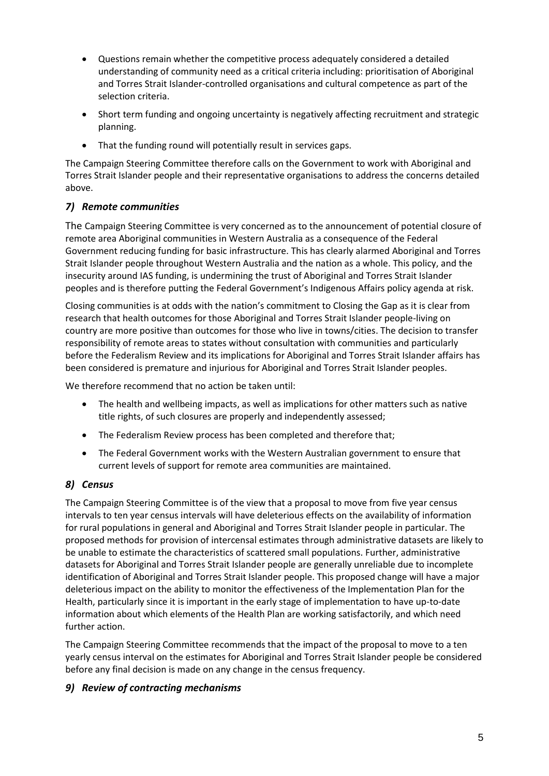- Questions remain whether the competitive process adequately considered a detailed understanding of community need as a critical criteria including: prioritisation of Aboriginal and Torres Strait Islander-controlled organisations and cultural competence as part of the selection criteria.
- Short term funding and ongoing uncertainty is negatively affecting recruitment and strategic planning.
- That the funding round will potentially result in services gaps.

The Campaign Steering Committee therefore calls on the Government to work with Aboriginal and Torres Strait Islander people and their representative organisations to address the concerns detailed above.

### *7) Remote communities*

The Campaign Steering Committee is very concerned as to the announcement of potential closure of remote area Aboriginal communities in Western Australia as a consequence of the Federal Government reducing funding for basic infrastructure. This has clearly alarmed Aboriginal and Torres Strait Islander people throughout Western Australia and the nation as a whole. This policy, and the insecurity around IAS funding, is undermining the trust of Aboriginal and Torres Strait Islander peoples and is therefore putting the Federal Government's Indigenous Affairs policy agenda at risk.

Closing communities is at odds with the nation's commitment to Closing the Gap as it is clear from research that health outcomes for those Aboriginal and Torres Strait Islander people-living on country are more positive than outcomes for those who live in towns/cities. The decision to transfer responsibility of remote areas to states without consultation with communities and particularly before the Federalism Review and its implications for Aboriginal and Torres Strait Islander affairs has been considered is premature and injurious for Aboriginal and Torres Strait Islander peoples.

We therefore recommend that no action be taken until:

- The health and wellbeing impacts, as well as implications for other matters such as native title rights, of such closures are properly and independently assessed;
- The Federalism Review process has been completed and therefore that;
- The Federal Government works with the Western Australian government to ensure that current levels of support for remote area communities are maintained.

### *8) Census*

The Campaign Steering Committee is of the view that a proposal to move from five year census intervals to ten year census intervals will have deleterious effects on the availability of information for rural populations in general and Aboriginal and Torres Strait Islander people in particular. The proposed methods for provision of intercensal estimates through administrative datasets are likely to be unable to estimate the characteristics of scattered small populations. Further, administrative datasets for Aboriginal and Torres Strait Islander people are generally unreliable due to incomplete identification of Aboriginal and Torres Strait Islander people. This proposed change will have a major deleterious impact on the ability to monitor the effectiveness of the Implementation Plan for the Health, particularly since it is important in the early stage of implementation to have up-to-date information about which elements of the Health Plan are working satisfactorily, and which need further action.

The Campaign Steering Committee recommends that the impact of the proposal to move to a ten yearly census interval on the estimates for Aboriginal and Torres Strait Islander people be considered before any final decision is made on any change in the census frequency.

### *9) Review of contracting mechanisms*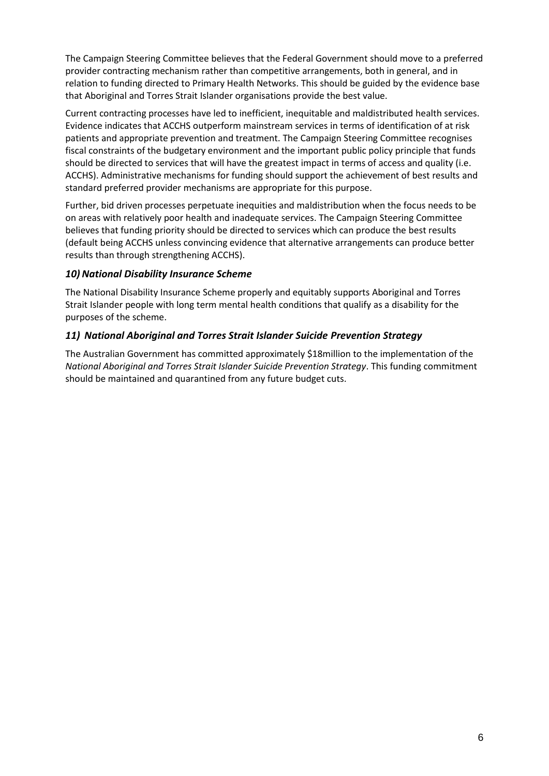The Campaign Steering Committee believes that the Federal Government should move to a preferred provider contracting mechanism rather than competitive arrangements, both in general, and in relation to funding directed to Primary Health Networks. This should be guided by the evidence base that Aboriginal and Torres Strait Islander organisations provide the best value.

Current contracting processes have led to inefficient, inequitable and maldistributed health services. Evidence indicates that ACCHS outperform mainstream services in terms of identification of at risk patients and appropriate prevention and treatment. The Campaign Steering Committee recognises fiscal constraints of the budgetary environment and the important public policy principle that funds should be directed to services that will have the greatest impact in terms of access and quality (i.e. ACCHS). Administrative mechanisms for funding should support the achievement of best results and standard preferred provider mechanisms are appropriate for this purpose.

Further, bid driven processes perpetuate inequities and maldistribution when the focus needs to be on areas with relatively poor health and inadequate services. The Campaign Steering Committee believes that funding priority should be directed to services which can produce the best results (default being ACCHS unless convincing evidence that alternative arrangements can produce better results than through strengthening ACCHS).

### 10) National Disability Insurance Scheme

The National Disability Insurance Scheme properly and equitably supports Aboriginal and Torres Strait Islander people with long term mental health conditions that qualify as a disability for the purposes of the scheme.

### *11) National Aboriginal and Torres Strait Islander Suicide Prevention Strategy*

The Australian Government has committed approximately \$18million to the implementation of the *National Aboriginal and Torres Strait Islander Suicide Prevention Strategy*. This funding commitment should be maintained and quarantined from any future budget cuts.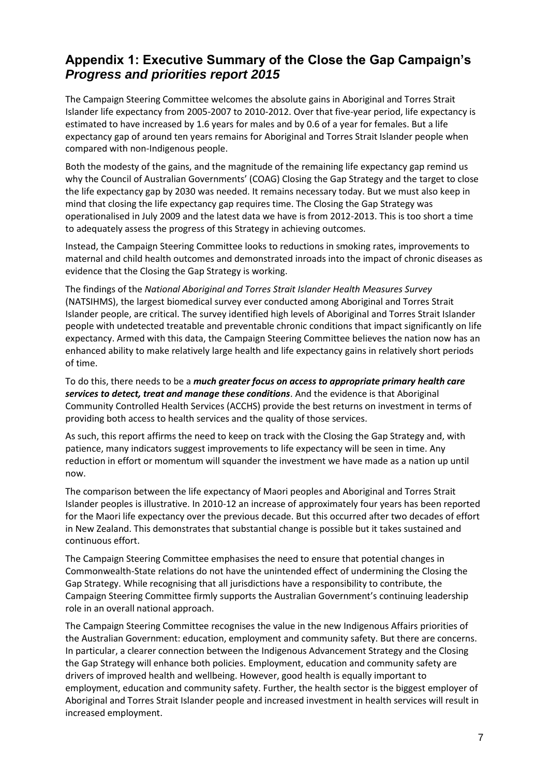# **Appendix 1: Executive Summary of the Close the Gap Campaign's**  *Progress and priorities report 2015*

The Campaign Steering Committee welcomes the absolute gains in Aboriginal and Torres Strait Islander life expectancy from 2005-2007 to 2010-2012. Over that five-year period, life expectancy is estimated to have increased by 1.6 years for males and by 0.6 of a year for females. But a life expectancy gap of around ten years remains for Aboriginal and Torres Strait Islander people when compared with non-Indigenous people.

Both the modesty of the gains, and the magnitude of the remaining life expectancy gap remind us why the Council of Australian Governments' (COAG) Closing the Gap Strategy and the target to close the life expectancy gap by 2030 was needed. It remains necessary today. But we must also keep in mind that closing the life expectancy gap requires time. The Closing the Gap Strategy was operationalised in July 2009 and the latest data we have is from 2012-2013. This is too short a time to adequately assess the progress of this Strategy in achieving outcomes.

Instead, the Campaign Steering Committee looks to reductions in smoking rates, improvements to maternal and child health outcomes and demonstrated inroads into the impact of chronic diseases as evidence that the Closing the Gap Strategy is working.

The findings of the *National Aboriginal and Torres Strait Islander Health Measures Survey*  (NATSIHMS), the largest biomedical survey ever conducted among Aboriginal and Torres Strait Islander people, are critical. The survey identified high levels of Aboriginal and Torres Strait Islander people with undetected treatable and preventable chronic conditions that impact significantly on life expectancy. Armed with this data, the Campaign Steering Committee believes the nation now has an enhanced ability to make relatively large health and life expectancy gains in relatively short periods of time.

To do this, there needs to be a *much greater focus on access to appropriate primary health care services to detect, treat and manage these conditions*. And the evidence is that Aboriginal Community Controlled Health Services (ACCHS) provide the best returns on investment in terms of providing both access to health services and the quality of those services.

As such, this report affirms the need to keep on track with the Closing the Gap Strategy and, with patience, many indicators suggest improvements to life expectancy will be seen in time. Any reduction in effort or momentum will squander the investment we have made as a nation up until now.

The comparison between the life expectancy of Maori peoples and Aboriginal and Torres Strait Islander peoples is illustrative. In 2010-12 an increase of approximately four years has been reported for the Maori life expectancy over the previous decade. But this occurred after two decades of effort in New Zealand. This demonstrates that substantial change is possible but it takes sustained and continuous effort.

The Campaign Steering Committee emphasises the need to ensure that potential changes in Commonwealth-State relations do not have the unintended effect of undermining the Closing the Gap Strategy. While recognising that all jurisdictions have a responsibility to contribute, the Campaign Steering Committee firmly supports the Australian Government's continuing leadership role in an overall national approach.

The Campaign Steering Committee recognises the value in the new Indigenous Affairs priorities of the Australian Government: education, employment and community safety. But there are concerns. In particular, a clearer connection between the Indigenous Advancement Strategy and the Closing the Gap Strategy will enhance both policies. Employment, education and community safety are drivers of improved health and wellbeing. However, good health is equally important to employment, education and community safety. Further, the health sector is the biggest employer of Aboriginal and Torres Strait Islander people and increased investment in health services will result in increased employment.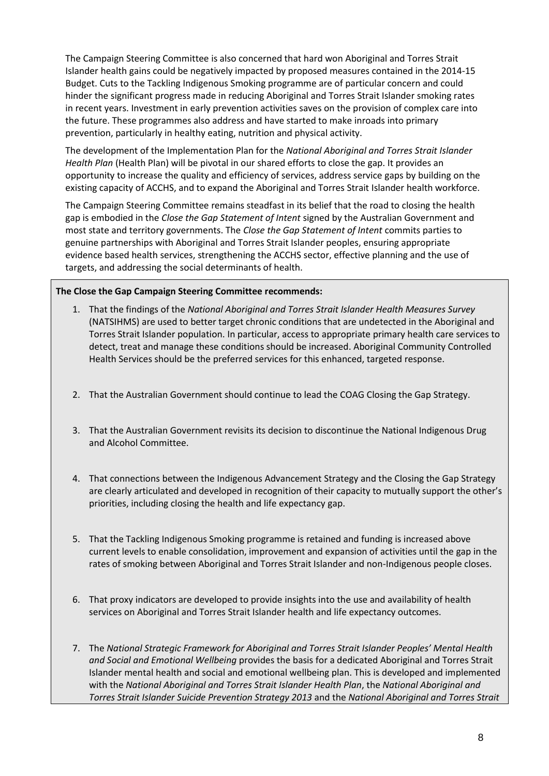The Campaign Steering Committee is also concerned that hard won Aboriginal and Torres Strait Islander health gains could be negatively impacted by proposed measures contained in the 2014-15 Budget. Cuts to the Tackling Indigenous Smoking programme are of particular concern and could hinder the significant progress made in reducing Aboriginal and Torres Strait Islander smoking rates in recent years. Investment in early prevention activities saves on the provision of complex care into the future. These programmes also address and have started to make inroads into primary prevention, particularly in healthy eating, nutrition and physical activity.

The development of the Implementation Plan for the *National Aboriginal and Torres Strait Islander Health Plan* (Health Plan) will be pivotal in our shared efforts to close the gap. It provides an opportunity to increase the quality and efficiency of services, address service gaps by building on the existing capacity of ACCHS, and to expand the Aboriginal and Torres Strait Islander health workforce.

The Campaign Steering Committee remains steadfast in its belief that the road to closing the health gap is embodied in the *Close the Gap Statement of Intent* signed by the Australian Government and most state and territory governments. The *Close the Gap Statement of Intent* commits parties to genuine partnerships with Aboriginal and Torres Strait Islander peoples, ensuring appropriate evidence based health services, strengthening the ACCHS sector, effective planning and the use of targets, and addressing the social determinants of health.

#### **The Close the Gap Campaign Steering Committee recommends:**

- 1. That the findings of the *National Aboriginal and Torres Strait Islander Health Measures Survey* (NATSIHMS) are used to better target chronic conditions that are undetected in the Aboriginal and Torres Strait Islander population. In particular, access to appropriate primary health care services to detect, treat and manage these conditions should be increased. Aboriginal Community Controlled Health Services should be the preferred services for this enhanced, targeted response.
- 2. That the Australian Government should continue to lead the COAG Closing the Gap Strategy.
- 3. That the Australian Government revisits its decision to discontinue the National Indigenous Drug and Alcohol Committee.
- 4. That connections between the Indigenous Advancement Strategy and the Closing the Gap Strategy are clearly articulated and developed in recognition of their capacity to mutually support the other's priorities, including closing the health and life expectancy gap.
- 5. That the Tackling Indigenous Smoking programme is retained and funding is increased above current levels to enable consolidation, improvement and expansion of activities until the gap in the rates of smoking between Aboriginal and Torres Strait Islander and non-Indigenous people closes.
- 6. That proxy indicators are developed to provide insights into the use and availability of health services on Aboriginal and Torres Strait Islander health and life expectancy outcomes.
- 7. The *National Strategic Framework for Aboriginal and Torres Strait Islander Peoples' Mental Health and Social and Emotional Wellbeing* provides the basis for a dedicated Aboriginal and Torres Strait Islander mental health and social and emotional wellbeing plan. This is developed and implemented with the *National Aboriginal and Torres Strait Islander Health Plan*, the *National Aboriginal and Torres Strait Islander Suicide Prevention Strategy 2013* and the *National Aboriginal and Torres Strait*